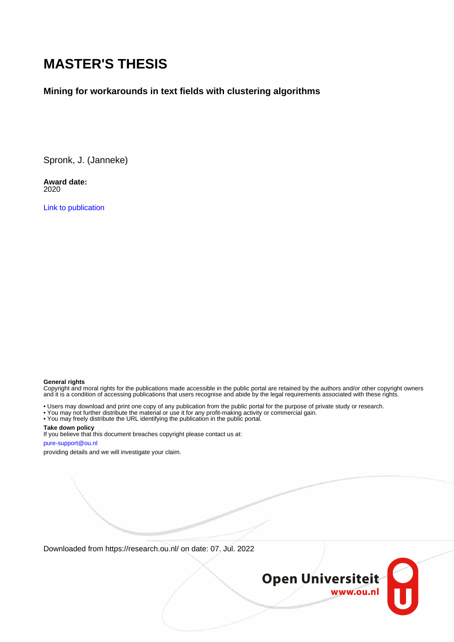# **MASTER'S THESIS**

#### **Mining for workarounds in text fields with clustering algorithms**

Spronk, J. (Janneke)

**Award date:** 2020

[Link to publication](https://research.ou.nl/en/studentTheses/b71cb1f7-ec60-459c-88ce-eec7fea86cc9)

#### **General rights**

Copyright and moral rights for the publications made accessible in the public portal are retained by the authors and/or other copyright owners and it is a condition of accessing publications that users recognise and abide by the legal requirements associated with these rights.

• Users may download and print one copy of any publication from the public portal for the purpose of private study or research.

- You may not further distribute the material or use it for any profit-making activity or commercial gain.
- You may freely distribute the URL identifying the publication in the public portal.

#### **Take down policy**

If you believe that this document breaches copyright please contact us at: pure-support@ou.nl

providing details and we will investigate your claim.

Downloaded from https://research.ou.nl/ on date: 07. Jul. 2022

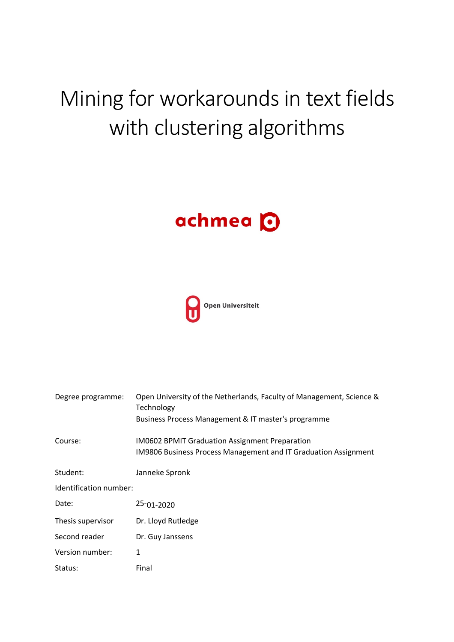# Mining for workarounds in text fields with clustering algorithms

# achmea O



| Degree programme:      | Open University of the Netherlands, Faculty of Management, Science &<br>Technology |  |  |  |  |
|------------------------|------------------------------------------------------------------------------------|--|--|--|--|
|                        | Business Process Management & IT master's programme                                |  |  |  |  |
| Course:                | <b>IM0602 BPMIT Graduation Assignment Preparation</b>                              |  |  |  |  |
|                        | IM9806 Business Process Management and IT Graduation Assignment                    |  |  |  |  |
| Student:               | Janneke Spronk                                                                     |  |  |  |  |
| Identification number: |                                                                                    |  |  |  |  |
| Date:                  | $25 - 01 - 2020$                                                                   |  |  |  |  |
| Thesis supervisor      | Dr. Lloyd Rutledge                                                                 |  |  |  |  |
| Second reader          | Dr. Guy Janssens                                                                   |  |  |  |  |
| Version number:        | 1                                                                                  |  |  |  |  |
| Status:                | Final                                                                              |  |  |  |  |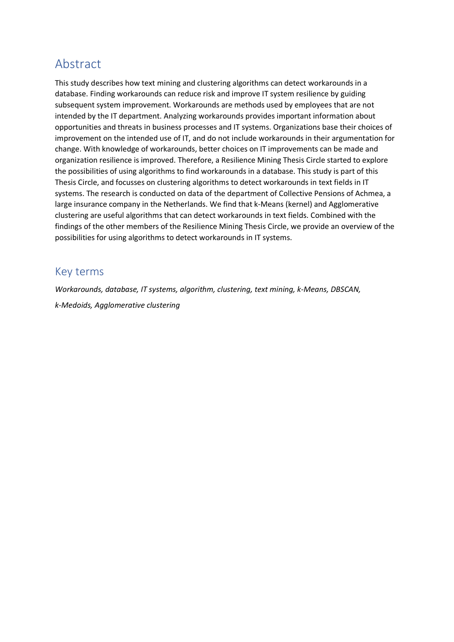## Abstract

This study describes how text mining and clustering algorithms can detect workarounds in a database. Finding workarounds can reduce risk and improve IT system resilience by guiding subsequent system improvement. Workarounds are methods used by employees that are not intended by the IT department. Analyzing workarounds provides important information about opportunities and threats in business processes and IT systems. Organizations base their choices of improvement on the intended use of IT, and do not include workarounds in their argumentation for change. With knowledge of workarounds, better choices on IT improvements can be made and organization resilience is improved. Therefore, a Resilience Mining Thesis Circle started to explore the possibilities of using algorithms to find workarounds in a database. This study is part of this Thesis Circle, and focusses on clustering algorithms to detect workarounds in text fields in IT systems. The research is conducted on data of the department of Collective Pensions of Achmea, a large insurance company in the Netherlands. We find that k-Means (kernel) and Agglomerative clustering are useful algorithms that can detect workarounds in text fields. Combined with the findings of the other members of the Resilience Mining Thesis Circle, we provide an overview of the possibilities for using algorithms to detect workarounds in IT systems.

## Key terms

*Workarounds, database, IT systems, algorithm, clustering, text mining, k-Means, DBSCAN, k-Medoids, Agglomerative clustering*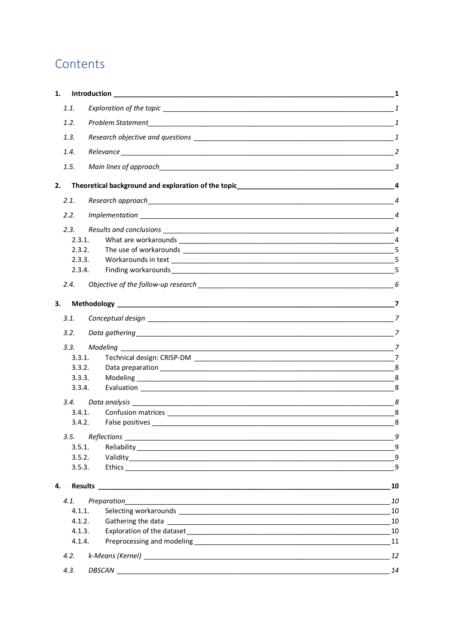# Contents

| 1. |        |          |                    |                |
|----|--------|----------|--------------------|----------------|
|    | 1.1.   |          |                    |                |
|    | 1.2.   |          |                    |                |
|    | 1.3.   |          |                    |                |
|    | 1.4.   |          |                    |                |
|    |        |          |                    |                |
|    | 1.5.   |          |                    |                |
| 2. |        |          |                    |                |
|    | 2.1.   |          |                    |                |
|    | 2.2.   |          |                    | $\overline{4}$ |
|    | 2.3.   |          |                    |                |
|    | 2.3.1. |          |                    |                |
|    | 2.3.2. |          |                    |                |
|    | 2.3.3. |          |                    | 5              |
|    | 2.3.4. |          |                    | 5              |
|    | 2.4.   |          |                    |                |
| 3. |        |          |                    |                |
|    | 3.1.   |          |                    |                |
|    | 3.2.   |          |                    |                |
|    | 3.3.   | Modeling |                    |                |
|    | 3.3.1. |          |                    |                |
|    | 3.3.2. |          |                    |                |
|    | 3.3.3. |          |                    |                |
|    | 3.3.4. |          |                    | 8              |
|    | 3.4.   |          |                    |                |
|    | 3.4.1. |          |                    |                |
|    | 3.4.2. |          |                    | 8              |
|    | 3.5.   |          | $Reflections \_ 9$ |                |
|    | 3.5.1. |          |                    | 9              |
|    | 3.5.2. |          |                    | 9              |
|    | 3.5.3. |          |                    | 9              |
| 4. |        |          |                    | 10             |
|    | 4.1.   |          |                    | 10             |
|    | 4.1.1. |          |                    | 10             |
|    | 4.1.2. |          |                    | 10             |
|    | 4.1.3. |          |                    | 10             |
|    | 4.1.4. |          |                    | 11             |
|    | 4.2.   |          |                    | 12             |
|    | 4.3.   |          | DBSCAN             | 14             |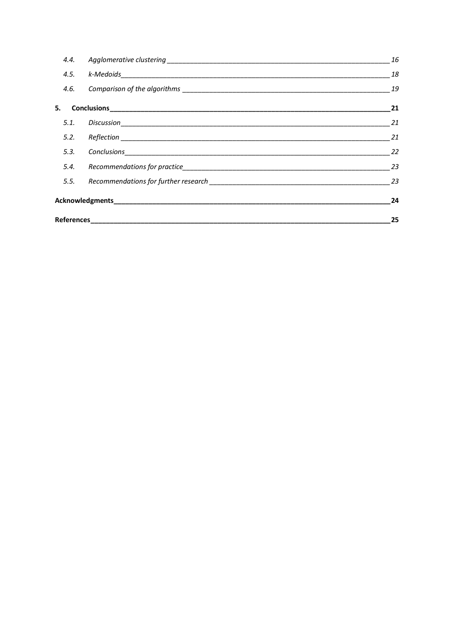| 4.4. | 16 |
|------|----|
| 4.5. | 18 |
|      | 19 |
| 5.   | 21 |
| 5.1. | 21 |
|      | 21 |
| 5.3. | 22 |
| 5.4. | 23 |
|      | 23 |
|      | 24 |
|      | 25 |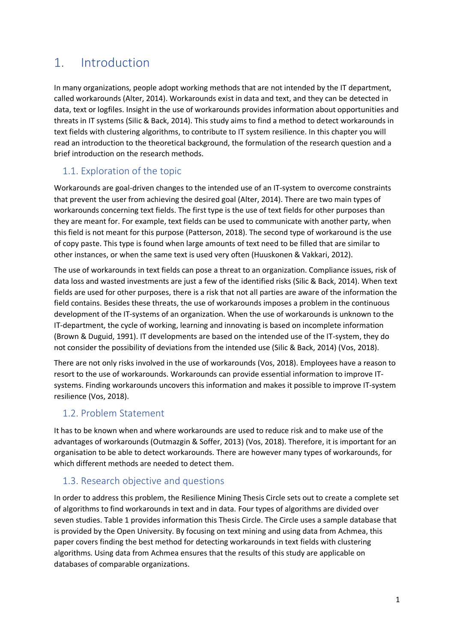## 1. Introduction

In many organizations, people adopt working methods that are not intended by the IT department, called workarounds (Alter, 2014). Workarounds exist in data and text, and they can be detected in data, text or logfiles. Insight in the use of workarounds provides information about opportunities and threats in IT systems (Silic & Back, 2014). This study aims to find a method to detect workarounds in text fields with clustering algorithms, to contribute to IT system resilience. In this chapter you will read an introduction to the theoretical background, the formulation of the research question and a brief introduction on the research methods.

## 1.1. Exploration of the topic

Workarounds are goal-driven changes to the intended use of an IT-system to overcome constraints that prevent the user from achieving the desired goal (Alter, 2014). There are two main types of workarounds concerning text fields. The first type is the use of text fields for other purposes than they are meant for. For example, text fields can be used to communicate with another party, when this field is not meant for this purpose (Patterson, 2018). The second type of workaround is the use of copy paste. This type is found when large amounts of text need to be filled that are similar to other instances, or when the same text is used very often (Huuskonen & Vakkari, 2012).

The use of workarounds in text fields can pose a threat to an organization. Compliance issues, risk of data loss and wasted investments are just a few of the identified risks (Silic & Back, 2014). When text fields are used for other purposes, there is a risk that not all parties are aware of the information the field contains. Besides these threats, the use of workarounds imposes a problem in the continuous development of the IT-systems of an organization. When the use of workarounds is unknown to the IT-department, the cycle of working, learning and innovating is based on incomplete information (Brown & Duguid, 1991). IT developments are based on the intended use of the IT-system, they do not consider the possibility of deviations from the intended use (Silic & Back, 2014) (Vos, 2018).

There are not only risks involved in the use of workarounds (Vos, 2018). Employees have a reason to resort to the use of workarounds. Workarounds can provide essential information to improve ITsystems. Finding workarounds uncovers this information and makes it possible to improve IT-system resilience (Vos, 2018).

## 1.2. Problem Statement

It has to be known when and where workarounds are used to reduce risk and to make use of the advantages of workarounds (Outmazgin & Soffer, 2013) (Vos, 2018). Therefore, it is important for an organisation to be able to detect workarounds. There are however many types of workarounds, for which different methods are needed to detect them.

## 1.3. Research objective and questions

In order to address this problem, the Resilience Mining Thesis Circle sets out to create a complete set of algorithms to find workarounds in text and in data. Four types of algorithms are divided over seven studies. Table 1 provides information this Thesis Circle. The Circle uses a sample database that is provided by the Open University. By focusing on text mining and using data from Achmea, this paper covers finding the best method for detecting workarounds in text fields with clustering algorithms. Using data from Achmea ensures that the results of this study are applicable on databases of comparable organizations.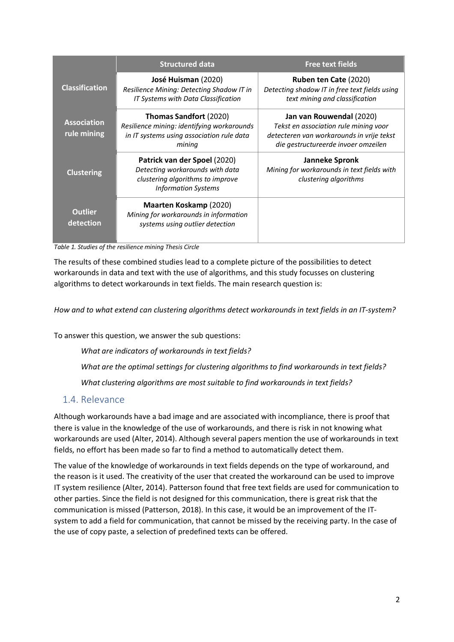|                                   | <b>Structured data</b>                                                                                                            | <b>Free text fields</b>                                                                                                                               |
|-----------------------------------|-----------------------------------------------------------------------------------------------------------------------------------|-------------------------------------------------------------------------------------------------------------------------------------------------------|
| <b>Classification</b>             | José Huisman (2020)<br>Resilience Mining: Detecting Shadow IT in<br>IT Systems with Data Classification                           | Ruben ten Cate (2020)<br>Detecting shadow IT in free text fields using<br>text mining and classification                                              |
| <b>Association</b><br>rule mining | Thomas Sandfort (2020)<br>Resilience mining: identifying workarounds<br>in IT systems using association rule data<br>mining       | Jan van Rouwendal (2020)<br>Tekst en association rule mining voor<br>detecteren van workarounds in vrije tekst<br>die gestructureerde invoer omzeilen |
| <b>Clustering</b>                 | Patrick van der Spoel (2020)<br>Detecting workarounds with data<br>clustering algorithms to improve<br><b>Information Systems</b> | <b>Janneke Spronk</b><br>Mining for workarounds in text fields with<br>clustering algorithms                                                          |
| <b>Outlier</b><br>detection       | Maarten Koskamp (2020)<br>Mining for workarounds in information<br>systems using outlier detection                                |                                                                                                                                                       |

*Table 1. Studies of the resilience mining Thesis Circle*

The results of these combined studies lead to a complete picture of the possibilities to detect workarounds in data and text with the use of algorithms, and this study focusses on clustering algorithms to detect workarounds in text fields. The main research question is:

*How and to what extend can clustering algorithms detect workarounds in text fields in an IT-system?*

To answer this question, we answer the sub questions:

*What are indicators of workarounds in text fields?*

*What are the optimal settings for clustering algorithms to find workarounds in text fields?*

*What clustering algorithms are most suitable to find workarounds in text fields?*

#### 1.4. Relevance

Although workarounds have a bad image and are associated with incompliance, there is proof that there is value in the knowledge of the use of workarounds, and there is risk in not knowing what workarounds are used (Alter, 2014). Although several papers mention the use of workarounds in text fields, no effort has been made so far to find a method to automatically detect them.

The value of the knowledge of workarounds in text fields depends on the type of workaround, and the reason is it used. The creativity of the user that created the workaround can be used to improve IT system resilience (Alter, 2014). Patterson found that free text fields are used for communication to other parties. Since the field is not designed for this communication, there is great risk that the communication is missed (Patterson, 2018). In this case, it would be an improvement of the ITsystem to add a field for communication, that cannot be missed by the receiving party. In the case of the use of copy paste, a selection of predefined texts can be offered.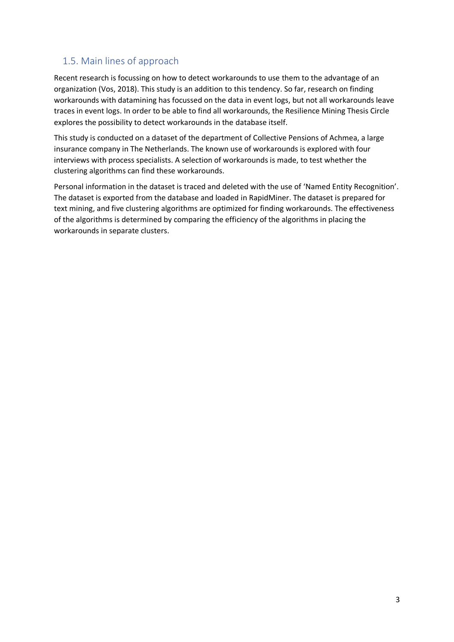## 1.5. Main lines of approach

Recent research is focussing on how to detect workarounds to use them to the advantage of an organization (Vos, 2018). This study is an addition to this tendency. So far, research on finding workarounds with datamining has focussed on the data in event logs, but not all workarounds leave traces in event logs. In order to be able to find all workarounds, the Resilience Mining Thesis Circle explores the possibility to detect workarounds in the database itself.

This study is conducted on a dataset of the department of Collective Pensions of Achmea, a large insurance company in The Netherlands. The known use of workarounds is explored with four interviews with process specialists. A selection of workarounds is made, to test whether the clustering algorithms can find these workarounds.

Personal information in the dataset is traced and deleted with the use of 'Named Entity Recognition'. The dataset is exported from the database and loaded in RapidMiner. The dataset is prepared for text mining, and five clustering algorithms are optimized for finding workarounds. The effectiveness of the algorithms is determined by comparing the efficiency of the algorithms in placing the workarounds in separate clusters.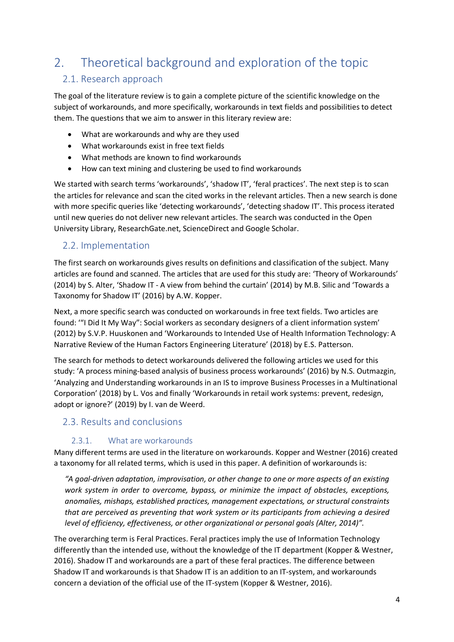# 2. Theoretical background and exploration of the topic

## 2.1. Research approach

The goal of the literature review is to gain a complete picture of the scientific knowledge on the subject of workarounds, and more specifically, workarounds in text fields and possibilities to detect them. The questions that we aim to answer in this literary review are:

- What are workarounds and why are they used
- What workarounds exist in free text fields
- What methods are known to find workarounds
- How can text mining and clustering be used to find workarounds

We started with search terms 'workarounds', 'shadow IT', 'feral practices'. The next step is to scan the articles for relevance and scan the cited works in the relevant articles. Then a new search is done with more specific queries like 'detecting workarounds', 'detecting shadow IT'. This process iterated until new queries do not deliver new relevant articles. The search was conducted in the Open University Library, ResearchGate.net, ScienceDirect and Google Scholar.

## 2.2. Implementation

The first search on workarounds gives results on definitions and classification of the subject. Many articles are found and scanned. The articles that are used for this study are: 'Theory of Workarounds' (2014) by S. Alter, 'Shadow IT - A view from behind the curtain' (2014) by M.B. Silic and 'Towards a Taxonomy for Shadow IT' (2016) by A.W. Kopper.

Next, a more specific search was conducted on workarounds in free text fields. Two articles are found: '"I Did It My Way": Social workers as secondary designers of a client information system' (2012) by S.V.P. Huuskonen and 'Workarounds to Intended Use of Health Information Technology: A Narrative Review of the Human Factors Engineering Literature' (2018) by E.S. Patterson.

The search for methods to detect workarounds delivered the following articles we used for this study: 'A process mining-based analysis of business process workarounds' (2016) by N.S. Outmazgin, 'Analyzing and Understanding workarounds in an IS to improve Business Processes in a Multinational Corporation' (2018) by L. Vos and finally 'Workarounds in retail work systems: prevent, redesign, adopt or ignore?' (2019) by I. van de Weerd.

## 2.3. Results and conclusions

## 2.3.1. What are workarounds

Many different terms are used in the literature on workarounds. Kopper and Westner (2016) created a taxonomy for all related terms, which is used in this paper. A definition of workarounds is:

*"A goal-driven adaptation, improvisation, or other change to one or more aspects of an existing work system in order to overcome, bypass, or minimize the impact of obstacles, exceptions, anomalies, mishaps, established practices, management expectations, or structural constraints that are perceived as preventing that work system or its participants from achieving a desired level of efficiency, effectiveness, or other organizational or personal goals (Alter, 2014)".*

The overarching term is Feral Practices. Feral practices imply the use of Information Technology differently than the intended use, without the knowledge of the IT department (Kopper & Westner, 2016). Shadow IT and workarounds are a part of these feral practices. The difference between Shadow IT and workarounds is that Shadow IT is an addition to an IT-system, and workarounds concern a deviation of the official use of the IT-system (Kopper & Westner, 2016).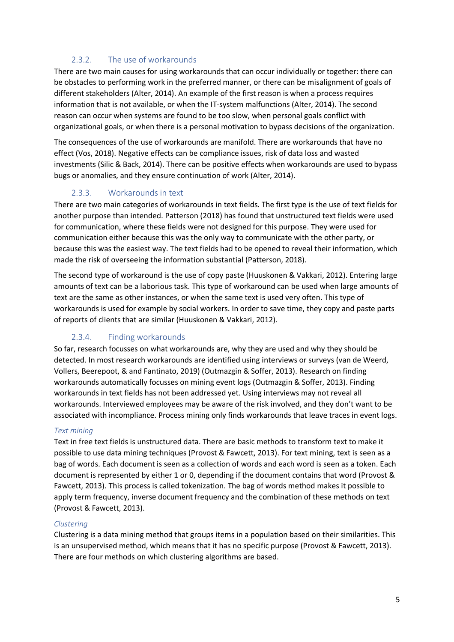#### 2.3.2. The use of workarounds

There are two main causes for using workarounds that can occur individually or together: there can be obstacles to performing work in the preferred manner, or there can be misalignment of goals of different stakeholders (Alter, 2014). An example of the first reason is when a process requires information that is not available, or when the IT-system malfunctions (Alter, 2014). The second reason can occur when systems are found to be too slow, when personal goals conflict with organizational goals, or when there is a personal motivation to bypass decisions of the organization.

The consequences of the use of workarounds are manifold. There are workarounds that have no effect (Vos, 2018). Negative effects can be compliance issues, risk of data loss and wasted investments (Silic & Back, 2014). There can be positive effects when workarounds are used to bypass bugs or anomalies, and they ensure continuation of work (Alter, 2014).

## 2.3.3. Workarounds in text

There are two main categories of workarounds in text fields. The first type is the use of text fields for another purpose than intended. Patterson (2018) has found that unstructured text fields were used for communication, where these fields were not designed for this purpose. They were used for communication either because this was the only way to communicate with the other party, or because this was the easiest way. The text fields had to be opened to reveal their information, which made the risk of overseeing the information substantial (Patterson, 2018).

The second type of workaround is the use of copy paste (Huuskonen & Vakkari, 2012). Entering large amounts of text can be a laborious task. This type of workaround can be used when large amounts of text are the same as other instances, or when the same text is used very often. This type of workarounds is used for example by social workers. In order to save time, they copy and paste parts of reports of clients that are similar (Huuskonen & Vakkari, 2012).

## 2.3.4. Finding workarounds

So far, research focusses on what workarounds are, why they are used and why they should be detected. In most research workarounds are identified using interviews or surveys (van de Weerd, Vollers, Beerepoot, & and Fantinato, 2019) (Outmazgin & Soffer, 2013). Research on finding workarounds automatically focusses on mining event logs (Outmazgin & Soffer, 2013). Finding workarounds in text fields has not been addressed yet. Using interviews may not reveal all workarounds. Interviewed employees may be aware of the risk involved, and they don't want to be associated with incompliance. Process mining only finds workarounds that leave traces in event logs.

#### *Text mining*

Text in free text fields is unstructured data. There are basic methods to transform text to make it possible to use data mining techniques (Provost & Fawcett, 2013). For text mining, text is seen as a bag of words. Each document is seen as a collection of words and each word is seen as a token. Each document is represented by either 1 or 0, depending if the document contains that word (Provost & Fawcett, 2013). This process is called tokenization. The bag of words method makes it possible to apply term frequency, inverse document frequency and the combination of these methods on text (Provost & Fawcett, 2013).

#### *Clustering*

Clustering is a data mining method that groups items in a population based on their similarities. This is an unsupervised method, which means that it has no specific purpose (Provost & Fawcett, 2013). There are four methods on which clustering algorithms are based.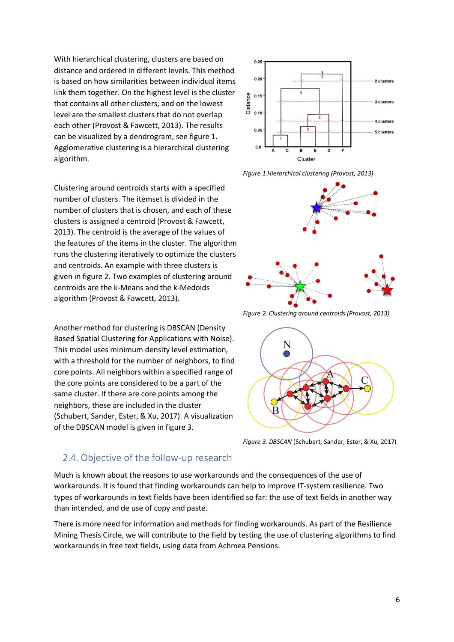With hierarchical clustering, clusters are based on distance and ordered in different levels. This method is based on how similarities between individual items link them together. On the highest level is the cluster that contains all other clusters, and on the lowest level are the smallest clusters that do not overlap each other (Provost & Fawcett, 2013). The results can be visualized by a dendrogram, see figure 1. Agglomerative clustering is a hierarchical clustering algorithm.

Clustering around centroids starts with a specified number of clusters. The itemset is divided in the number of clusters that is chosen, and each of these clusters is assigned a centroid (Provost & Fawcett, 2013). The centroid is the average of the values of the features of the items in the cluster. The algorithm runs the clustering iteratively to optimize the clusters and centroids. An example with three clusters is given in figure 2. Two examples of clustering around centroids are the k-Means and the k-Medoids algorithm (Provost & Fawcett, 2013).

Another method for clustering is DBSCAN (Density Based Spatial Clustering for Applications with Noise). This model uses minimum density level estimation, with a threshold for the number of neighbors, to find core points. All neighbors within a specified range of the core points are considered to be a part of the same cluster. If there are core points among the neighbors, these are included in the cluster (Schubert, Sander, Ester, & Xu, 2017). A visualization of the DBSCAN model is given in figure 3.



*Figure 1.Hierarchical clustering (Provost, 2013)*



*Figure 2. Clustering around centroids (Provost, 2013)*



*Figure 3. DBSCAN* (Schubert, Sander, Ester, & Xu, 2017)

## 2.4. Objective of the follow-up research

Much is known about the reasons to use workarounds and the consequences of the use of workarounds. It is found that finding workarounds can help to improve IT-system resilience. Two types of workarounds in text fields have been identified so far: the use of text fields in another way than intended, and de use of copy and paste.

There is more need for information and methods for finding workarounds. As part of the Resilience Mining Thesis Circle, we will contribute to the field by testing the use of clustering algorithms to find workarounds in free text fields, using data from Achmea Pensions.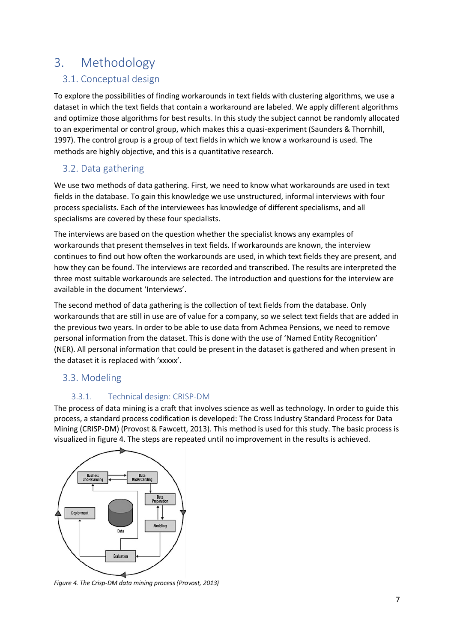# 3. Methodology

## 3.1. Conceptual design

To explore the possibilities of finding workarounds in text fields with clustering algorithms, we use a dataset in which the text fields that contain a workaround are labeled. We apply different algorithms and optimize those algorithms for best results. In this study the subject cannot be randomly allocated to an experimental or control group, which makes this a quasi-experiment (Saunders & Thornhill, 1997). The control group is a group of text fields in which we know a workaround is used. The methods are highly objective, and this is a quantitative research.

## 3.2. Data gathering

We use two methods of data gathering. First, we need to know what workarounds are used in text fields in the database. To gain this knowledge we use unstructured, informal interviews with four process specialists. Each of the interviewees has knowledge of different specialisms, and all specialisms are covered by these four specialists.

The interviews are based on the question whether the specialist knows any examples of workarounds that present themselves in text fields. If workarounds are known, the interview continues to find out how often the workarounds are used, in which text fields they are present, and how they can be found. The interviews are recorded and transcribed. The results are interpreted the three most suitable workarounds are selected. The introduction and questions for the interview are available in the document 'Interviews'.

The second method of data gathering is the collection of text fields from the database. Only workarounds that are still in use are of value for a company, so we select text fields that are added in the previous two years. In order to be able to use data from Achmea Pensions, we need to remove personal information from the dataset. This is done with the use of 'Named Entity Recognition' (NER). All personal information that could be present in the dataset is gathered and when present in the dataset it is replaced with 'xxxxx'.

## 3.3. Modeling

## 3.3.1. Technical design: CRISP-DM

The process of data mining is a craft that involves science as well as technology. In order to guide this process, a standard process codification is developed: The Cross Industry Standard Process for Data Mining (CRISP-DM) (Provost & Fawcett, 2013). This method is used for this study. The basic process is visualized in figure 4. The steps are repeated until no improvement in the results is achieved.



*Figure 4. The Crisp-DM data mining process (Provost, 2013)*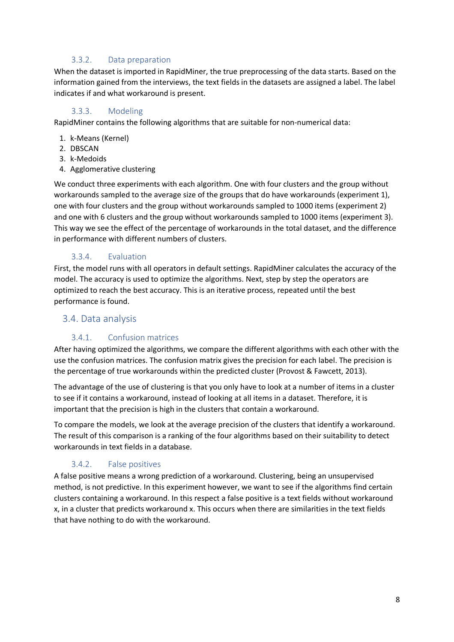#### 3.3.2. Data preparation

When the dataset is imported in RapidMiner, the true preprocessing of the data starts. Based on the information gained from the interviews, the text fields in the datasets are assigned a label. The label indicates if and what workaround is present.

#### 3.3.3. Modeling

RapidMiner contains the following algorithms that are suitable for non-numerical data:

- 1. k-Means (Kernel)
- 2. DBSCAN
- 3. k-Medoids
- 4. Agglomerative clustering

We conduct three experiments with each algorithm. One with four clusters and the group without workarounds sampled to the average size of the groups that do have workarounds (experiment 1), one with four clusters and the group without workarounds sampled to 1000 items (experiment 2) and one with 6 clusters and the group without workarounds sampled to 1000 items (experiment 3). This way we see the effect of the percentage of workarounds in the total dataset, and the difference in performance with different numbers of clusters.

#### 3.3.4. Evaluation

First, the model runs with all operators in default settings. RapidMiner calculates the accuracy of the model. The accuracy is used to optimize the algorithms. Next, step by step the operators are optimized to reach the best accuracy. This is an iterative process, repeated until the best performance is found.

#### 3.4. Data analysis

#### 3.4.1. Confusion matrices

After having optimized the algorithms, we compare the different algorithms with each other with the use the confusion matrices. The confusion matrix gives the precision for each label. The precision is the percentage of true workarounds within the predicted cluster (Provost & Fawcett, 2013).

The advantage of the use of clustering is that you only have to look at a number of items in a cluster to see if it contains a workaround, instead of looking at all items in a dataset. Therefore, it is important that the precision is high in the clusters that contain a workaround.

To compare the models, we look at the average precision of the clusters that identify a workaround. The result of this comparison is a ranking of the four algorithms based on their suitability to detect workarounds in text fields in a database.

#### 3.4.2. False positives

A false positive means a wrong prediction of a workaround. Clustering, being an unsupervised method, is not predictive. In this experiment however, we want to see if the algorithms find certain clusters containing a workaround. In this respect a false positive is a text fields without workaround x, in a cluster that predicts workaround x. This occurs when there are similarities in the text fields that have nothing to do with the workaround.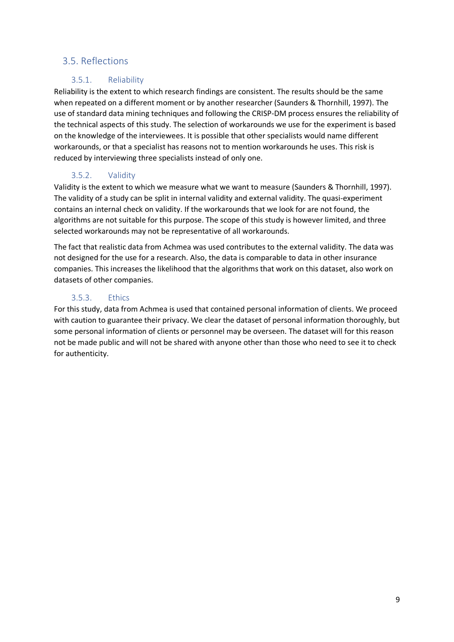## 3.5. Reflections

## 3.5.1. Reliability

Reliability is the extent to which research findings are consistent. The results should be the same when repeated on a different moment or by another researcher (Saunders & Thornhill, 1997). The use of standard data mining techniques and following the CRISP-DM process ensures the reliability of the technical aspects of this study. The selection of workarounds we use for the experiment is based on the knowledge of the interviewees. It is possible that other specialists would name different workarounds, or that a specialist has reasons not to mention workarounds he uses. This risk is reduced by interviewing three specialists instead of only one.

## 3.5.2. Validity

Validity is the extent to which we measure what we want to measure (Saunders & Thornhill, 1997). The validity of a study can be split in internal validity and external validity. The quasi-experiment contains an internal check on validity. If the workarounds that we look for are not found, the algorithms are not suitable for this purpose. The scope of this study is however limited, and three selected workarounds may not be representative of all workarounds.

The fact that realistic data from Achmea was used contributes to the external validity. The data was not designed for the use for a research. Also, the data is comparable to data in other insurance companies. This increases the likelihood that the algorithms that work on this dataset, also work on datasets of other companies.

## 3.5.3. Ethics

For this study, data from Achmea is used that contained personal information of clients. We proceed with caution to guarantee their privacy. We clear the dataset of personal information thoroughly, but some personal information of clients or personnel may be overseen. The dataset will for this reason not be made public and will not be shared with anyone other than those who need to see it to check for authenticity.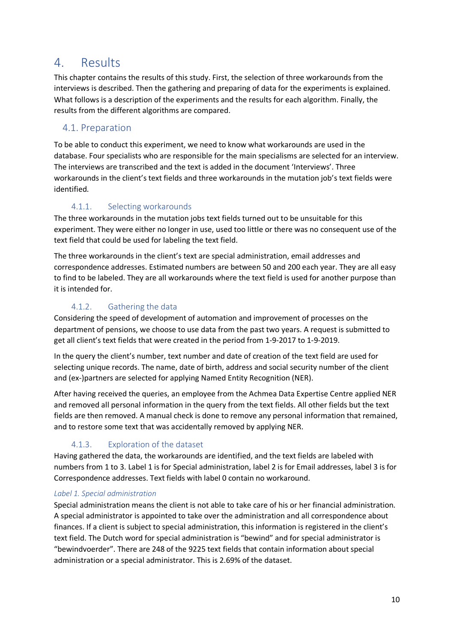## 4. Results

This chapter contains the results of this study. First, the selection of three workarounds from the interviews is described. Then the gathering and preparing of data for the experiments is explained. What follows is a description of the experiments and the results for each algorithm. Finally, the results from the different algorithms are compared.

## 4.1. Preparation

To be able to conduct this experiment, we need to know what workarounds are used in the database. Four specialists who are responsible for the main specialisms are selected for an interview. The interviews are transcribed and the text is added in the document 'Interviews'. Three workarounds in the client's text fields and three workarounds in the mutation job's text fields were identified.

## 4.1.1. Selecting workarounds

The three workarounds in the mutation jobs text fields turned out to be unsuitable for this experiment. They were either no longer in use, used too little or there was no consequent use of the text field that could be used for labeling the text field.

The three workarounds in the client's text are special administration, email addresses and correspondence addresses. Estimated numbers are between 50 and 200 each year. They are all easy to find to be labeled. They are all workarounds where the text field is used for another purpose than it is intended for.

## 4.1.2. Gathering the data

Considering the speed of development of automation and improvement of processes on the department of pensions, we choose to use data from the past two years. A request is submitted to get all client's text fields that were created in the period from 1-9-2017 to 1-9-2019.

In the query the client's number, text number and date of creation of the text field are used for selecting unique records. The name, date of birth, address and social security number of the client and (ex-)partners are selected for applying Named Entity Recognition (NER).

After having received the queries, an employee from the Achmea Data Expertise Centre applied NER and removed all personal information in the query from the text fields. All other fields but the text fields are then removed. A manual check is done to remove any personal information that remained, and to restore some text that was accidentally removed by applying NER.

## 4.1.3. Exploration of the dataset

Having gathered the data, the workarounds are identified, and the text fields are labeled with numbers from 1 to 3. Label 1 is for Special administration, label 2 is for Email addresses, label 3 is for Correspondence addresses. Text fields with label 0 contain no workaround.

#### *Label 1. Special administration*

Special administration means the client is not able to take care of his or her financial administration. A special administrator is appointed to take over the administration and all correspondence about finances. If a client is subject to special administration, this information is registered in the client's text field. The Dutch word for special administration is "bewind" and for special administrator is "bewindvoerder". There are 248 of the 9225 text fields that contain information about special administration or a special administrator. This is 2.69% of the dataset.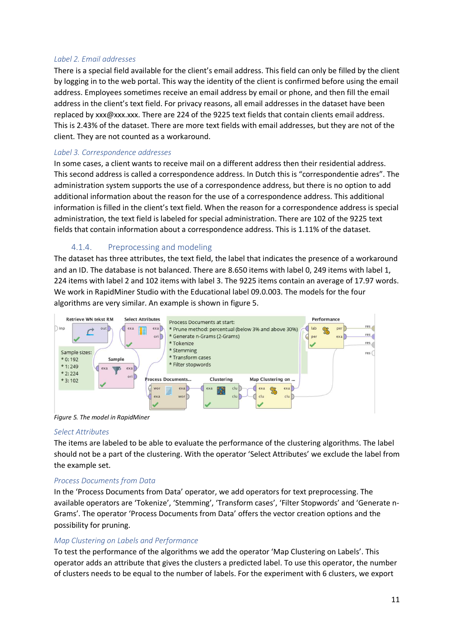#### *Label 2. Email addresses*

There is a special field available for the client's email address. This field can only be filled by the client by logging in to the web portal. This way the identity of the client is confirmed before using the email address. Employees sometimes receive an email address by email or phone, and then fill the email address in the client's text field. For privacy reasons, all email addresses in the dataset have been replaced by xxx@xxx.xxx. There are 224 of the 9225 text fields that contain clients email address. This is 2.43% of the dataset. There are more text fields with email addresses, but they are not of the client. They are not counted as a workaround.

#### *Label 3. Correspondence addresses*

In some cases, a client wants to receive mail on a different address then their residential address. This second address is called a correspondence address. In Dutch this is "correspondentie adres". The administration system supports the use of a correspondence address, but there is no option to add additional information about the reason for the use of a correspondence address. This additional information is filled in the client's text field. When the reason for a correspondence address is special administration, the text field is labeled for special administration. There are 102 of the 9225 text fields that contain information about a correspondence address. This is 1.11% of the dataset.

#### 4.1.4. Preprocessing and modeling

The dataset has three attributes, the text field, the label that indicates the presence of a workaround and an ID. The database is not balanced. There are 8.650 items with label 0, 249 items with label 1, 224 items with label 2 and 102 items with label 3. The 9225 items contain an average of 17.97 words. We work in RapidMiner Studio with the Educational label 09.0.003. The models for the four algorithms are very similar. An example is shown in figure 5.



*Figure 5. The model in RapidMiner*

#### *Select Attributes*

The items are labeled to be able to evaluate the performance of the clustering algorithms. The label should not be a part of the clustering. With the operator 'Select Attributes' we exclude the label from the example set.

#### *Process Documents from Data*

In the 'Process Documents from Data' operator, we add operators for text preprocessing. The available operators are 'Tokenize', 'Stemming', 'Transform cases', 'Filter Stopwords' and 'Generate n-Grams'. The operator 'Process Documents from Data' offers the vector creation options and the possibility for pruning.

#### *Map Clustering on Labels and Performance*

To test the performance of the algorithms we add the operator 'Map Clustering on Labels'. This operator adds an attribute that gives the clusters a predicted label. To use this operator, the number of clusters needs to be equal to the number of labels. For the experiment with 6 clusters, we export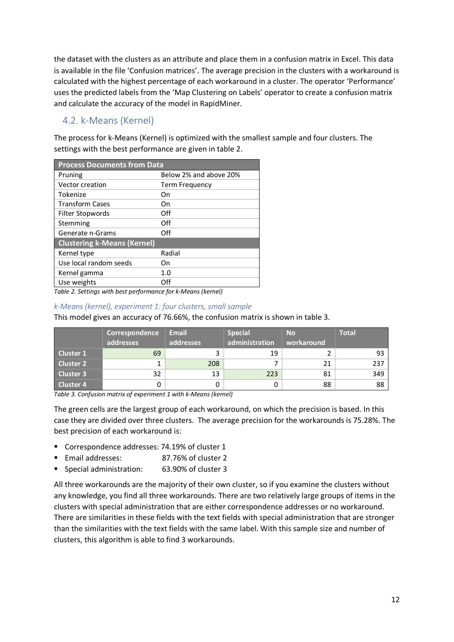the dataset with the clusters as an attribute and place them in a confusion matrix in Excel. This data is available in the file 'Confusion matrices'. The average precision in the clusters with a workaround is calculated with the highest percentage of each workaround in a cluster. The operator 'Performance' uses the predicted labels from the 'Map Clustering on Labels' operator to create a confusion matrix and calculate the accuracy of the model in RapidMiner.

## 4.2. k-Means (Kernel)

The process for k-Means (Kernel) is optimized with the smallest sample and four clusters. The settings with the best performance are given in table 2.

| <b>Process Documents from Data</b> |                        |  |  |  |  |
|------------------------------------|------------------------|--|--|--|--|
| Pruning                            | Below 2% and above 20% |  |  |  |  |
| Vector creation                    | Term Frequency         |  |  |  |  |
| Tokenize                           | Οn                     |  |  |  |  |
| <b>Transform Cases</b>             | On                     |  |  |  |  |
| Filter Stopwords                   | Off                    |  |  |  |  |
| Stemming                           | Off                    |  |  |  |  |
| Generate n-Grams                   | Off                    |  |  |  |  |
| <b>Clustering k-Means (Kernel)</b> |                        |  |  |  |  |
| Kernel type                        | Radial                 |  |  |  |  |
| Use local random seeds             | On                     |  |  |  |  |
| Kernel gamma                       | 1.0                    |  |  |  |  |
| Use weights                        | Off                    |  |  |  |  |

*Table 2. Settings with best performance for k-Means (kernel)*

#### *k-Means (kernel), experiment 1: four clusters, small sample*

This model gives an accuracy of 76.66%, the confusion matrix is shown in table 3.

|                  | Correspondence | <b>Email</b> | <b>Special</b> | <b>No</b>  | <b>Total</b> |
|------------------|----------------|--------------|----------------|------------|--------------|
|                  | addresses      | addresses    | administration | workaround |              |
| <b>Cluster 1</b> | 69             |              | 19             |            | 93           |
| <b>Cluster 2</b> |                | 208          |                |            | 237          |
| <b>Cluster 3</b> | 32             | 13           | 223            | 81         | 349          |
| <b>Cluster 4</b> |                |              |                | 88         | 88           |

*Table 3. Confusion matrix of experiment 1 with k-Means (kernel)*

The green cells are the largest group of each workaround, on which the precision is based. In this case they are divided over three clusters. The average precision for the workarounds is 75.28%. The best precision of each workaround is:

- Correspondence addresses: 74.19% of cluster 1
- § Email addresses: 87.76% of cluster 2
- § Special administration: 63.90% of cluster 3

All three workarounds are the majority of their own cluster, so if you examine the clusters without any knowledge, you find all three workarounds. There are two relatively large groups of items in the clusters with special administration that are either correspondence addresses or no workaround. There are similarities in these fields with the text fields with special administration that are stronger than the similarities with the text fields with the same label. With this sample size and number of clusters, this algorithm is able to find 3 workarounds.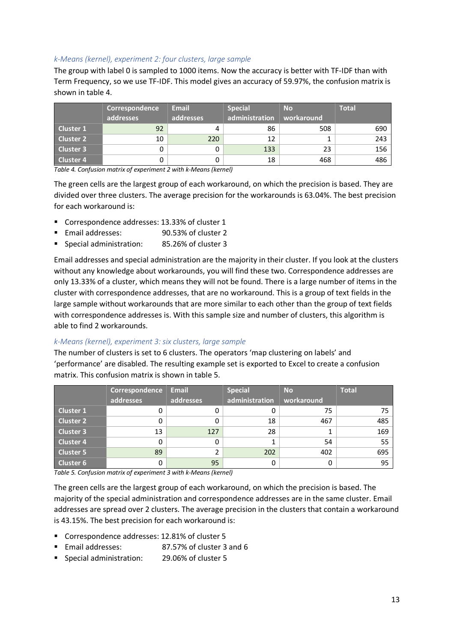#### *k-Means (kernel), experiment 2: four clusters, large sample*

The group with label 0 is sampled to 1000 items. Now the accuracy is better with TF-IDF than with Term Frequency, so we use TF-IDF. This model gives an accuracy of 59.97%, the confusion matrix is shown in table 4.

|                  | Correspondence | <b>Email</b> | <b>Special</b> | <b>No</b>  | <b>Total</b> |
|------------------|----------------|--------------|----------------|------------|--------------|
|                  | addresses      | addresses    | administration | workaround |              |
| Cluster 1        | 92             | 4            | 86             | 508        | 690          |
| Cluster 2        | 10             | 220          | 12             |            | 243          |
| Cluster 3        |                | 0            | 133            | 23         | 156          |
| <b>Cluster 4</b> |                |              | 18             | 468        | 486          |

*Table 4. Confusion matrix of experiment 2 with k-Means (kernel)*

The green cells are the largest group of each workaround, on which the precision is based. They are divided over three clusters. The average precision for the workarounds is 63.04%. The best precision for each workaround is:

- Correspondence addresses: 13.33% of cluster 1
- Email addresses: 90.53% of cluster 2
- § Special administration: 85.26% of cluster 3

Email addresses and special administration are the majority in their cluster. If you look at the clusters without any knowledge about workarounds, you will find these two. Correspondence addresses are only 13.33% of a cluster, which means they will not be found. There is a large number of items in the cluster with correspondence addresses, that are no workaround. This is a group of text fields in the large sample without workarounds that are more similar to each other than the group of text fields with correspondence addresses is. With this sample size and number of clusters, this algorithm is able to find 2 workarounds.

#### *k-Means (kernel), experiment 3: six clusters, large sample*

The number of clusters is set to 6 clusters. The operators 'map clustering on labels' and 'performance' are disabled. The resulting example set is exported to Excel to create a confusion matrix. This confusion matrix is shown in table 5.

|                  | Correspondence | <b>Email</b> | <b>Special</b> | <b>No</b>  | <b>Total</b> |
|------------------|----------------|--------------|----------------|------------|--------------|
|                  | addresses      | addresses    | administration | workaround |              |
| Cluster 1        |                | 0            |                | 75         | 75           |
| <b>Cluster 2</b> |                | 0            | 18             | 467        | 485          |
| <b>Cluster 3</b> | 13             | 127          | 28             |            | 169          |
| <b>Cluster 4</b> |                | 0            |                | 54         | 55           |
| <b>Cluster 5</b> | 89             | 2            | 202            | 402        | 695          |
| <b>Cluster 6</b> |                | 95           |                |            | 95           |

*Table 5. Confusion matrix of experiment 3 with k-Means (kernel)*

The green cells are the largest group of each workaround, on which the precision is based. The majority of the special administration and correspondence addresses are in the same cluster. Email addresses are spread over 2 clusters. The average precision in the clusters that contain a workaround is 43.15%. The best precision for each workaround is:

- Correspondence addresses: 12.81% of cluster 5
- Email addresses: 87.57% of cluster 3 and 6
- Special administration: 29.06% of cluster 5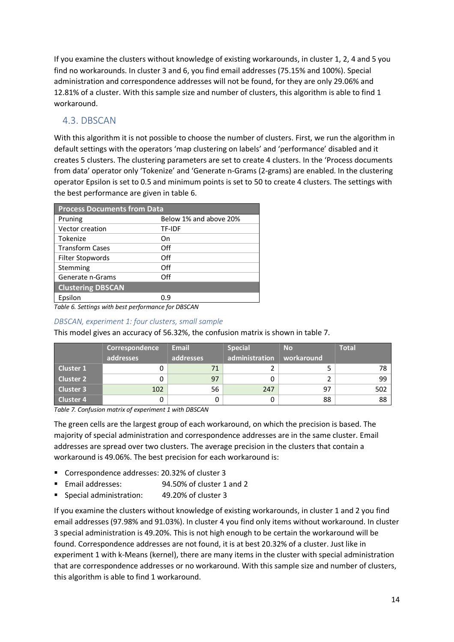If you examine the clusters without knowledge of existing workarounds, in cluster 1, 2, 4 and 5 you find no workarounds. In cluster 3 and 6, you find email addresses (75.15% and 100%). Special administration and correspondence addresses will not be found, for they are only 29.06% and 12.81% of a cluster. With this sample size and number of clusters, this algorithm is able to find 1 workaround.

## 4.3. DBSCAN

With this algorithm it is not possible to choose the number of clusters. First, we run the algorithm in default settings with the operators 'map clustering on labels' and 'performance' disabled and it creates 5 clusters. The clustering parameters are set to create 4 clusters. In the 'Process documents from data' operator only 'Tokenize' and 'Generate n-Grams (2-grams) are enabled. In the clustering operator Epsilon is set to 0.5 and minimum points is set to 50 to create 4 clusters. The settings with the best performance are given in table 6.

| <b>Process Documents from Data</b>                                                 |                        |  |  |  |  |  |
|------------------------------------------------------------------------------------|------------------------|--|--|--|--|--|
| Pruning                                                                            | Below 1% and above 20% |  |  |  |  |  |
| <b>Vector creation</b>                                                             | <b>TF-IDF</b>          |  |  |  |  |  |
| Tokenize                                                                           | Οn                     |  |  |  |  |  |
| <b>Transform Cases</b>                                                             | Off                    |  |  |  |  |  |
| Filter Stopwords                                                                   | Off                    |  |  |  |  |  |
| Stemming                                                                           | Off                    |  |  |  |  |  |
| Generate n-Grams                                                                   | Off                    |  |  |  |  |  |
| <b>Clustering DBSCAN</b>                                                           |                        |  |  |  |  |  |
| Epsilon                                                                            | 0.9                    |  |  |  |  |  |
| $T_{\text{el}}$ ble $C_{\text{el}}$ Cettings with beat post-conformance for DBCCAN |                        |  |  |  |  |  |

*Table 6. Settings with best performance for DBSCAN*

#### *DBSCAN, experiment 1: four clusters, small sample*

This model gives an accuracy of 56.32%, the confusion matrix is shown in table 7.

|                  | Correspondence<br>addresses | <b>Email</b><br>addresses | <b>Special</b><br>administration | <b>No</b><br>workaround | <b>Total</b> |
|------------------|-----------------------------|---------------------------|----------------------------------|-------------------------|--------------|
| Cluster 1        |                             | 71                        |                                  |                         | 78           |
| <b>Cluster 2</b> |                             | 97                        |                                  |                         | 99           |
| Cluster 3        | 102                         | 56                        | 247                              | 97                      | 502          |
| <b>Cluster 4</b> |                             |                           |                                  | 88                      | 88           |

*Table 7. Confusion matrix of experiment 1 with DBSCAN*

The green cells are the largest group of each workaround, on which the precision is based. The majority of special administration and correspondence addresses are in the same cluster. Email addresses are spread over two clusters. The average precision in the clusters that contain a workaround is 49.06%. The best precision for each workaround is:

- Correspondence addresses: 20.32% of cluster 3
- Email addresses: 94.50% of cluster 1 and 2
- Special administration: 49.20% of cluster 3

If you examine the clusters without knowledge of existing workarounds, in cluster 1 and 2 you find email addresses (97.98% and 91.03%). In cluster 4 you find only items without workaround. In cluster 3 special administration is 49.20%. This is not high enough to be certain the workaround will be found. Correspondence addresses are not found, it is at best 20.32% of a cluster. Just like in experiment 1 with k-Means (kernel), there are many items in the cluster with special administration that are correspondence addresses or no workaround. With this sample size and number of clusters, this algorithm is able to find 1 workaround.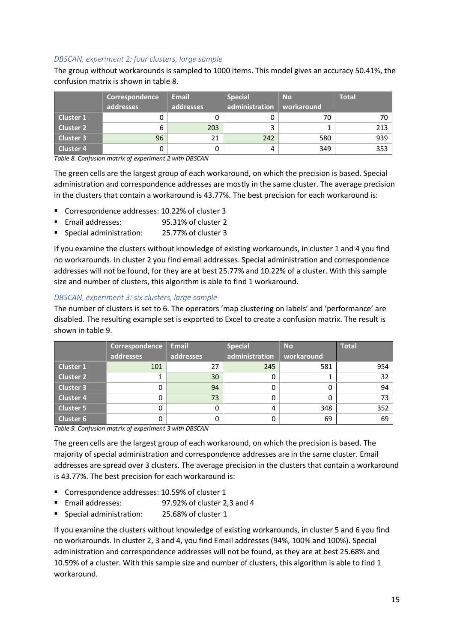#### *DBSCAN, experiment 2: four clusters, large sample*

The group without workarounds is sampled to 1000 items. This model gives an accuracy 50.41%, the confusion matrix is shown in table 8.

|                  | Correspondence | <b>Email</b> | <b>Special</b> | <b>No</b>  | <b>Total</b> |
|------------------|----------------|--------------|----------------|------------|--------------|
|                  | addresses      | addresses    | administration | workaround |              |
| <b>Cluster 1</b> |                |              |                | 70         | 70           |
| <b>Cluster 2</b> | 6              | 203          | 3              |            | 213          |
| <b>Cluster 3</b> | 96             | 21           | 242            | 580        | 939          |
| <b>Cluster 4</b> |                |              | 4              | 349        | 353          |

*Table 8. Confusion matrix of experiment 2 with DBSCAN*

The green cells are the largest group of each workaround, on which the precision is based. Special administration and correspondence addresses are mostly in the same cluster. The average precision in the clusters that contain a workaround is 43.77%. The best precision for each workaround is:

- Correspondence addresses: 10.22% of cluster 3
- Email addresses: 95.31% of cluster 2
- Special administration: 25.77% of cluster 3

If you examine the clusters without knowledge of existing workarounds, in cluster 1 and 4 you find no workarounds. In cluster 2 you find email addresses. Special administration and correspondence addresses will not be found, for they are at best 25.77% and 10.22% of a cluster. With this sample size and number of clusters, this algorithm is able to find 1 workaround.

#### *DBSCAN, experiment 3: six clusters, large sample*

The number of clusters is set to 6. The operators 'map clustering on labels' and 'performance' are disabled. The resulting example set is exported to Excel to create a confusion matrix. The result is shown in table 9.

|                  | Correspondence | <b>Email</b> | <b>Special</b> | <b>No</b>  | <b>Total</b> |
|------------------|----------------|--------------|----------------|------------|--------------|
|                  | addresses      | addresses    | administration | workaround |              |
| <b>Cluster 1</b> | 101            | 27           | 245            | 581        | 954          |
| <b>Cluster 2</b> |                | 30           |                |            | 32           |
| <b>Cluster 3</b> |                | 94           |                |            | 94           |
| <b>Cluster 4</b> |                | 73           |                |            | 73           |
| <b>Cluster 5</b> |                | 0            | 4              | 348        | 352          |
| <b>Cluster 6</b> |                | 0            |                | 69         | 69           |

*Table 9. Confusion matrix of experiment 3 with DBSCAN*

The green cells are the largest group of each workaround, on which the precision is based. The majority of special administration and correspondence addresses are in the same cluster. Email addresses are spread over 3 clusters. The average precision in the clusters that contain a workaround is 43.77%. The best precision for each workaround is:

- Correspondence addresses: 10.59% of cluster 1
- Email addresses: 97.92% of cluster 2,3 and 4
- Special administration: 25.68% of cluster 1

If you examine the clusters without knowledge of existing workarounds, in cluster 5 and 6 you find no workarounds. In cluster 2, 3 and 4, you find Email addresses (94%, 100% and 100%). Special administration and correspondence addresses will not be found, as they are at best 25.68% and 10.59% of a cluster. With this sample size and number of clusters, this algorithm is able to find 1 workaround.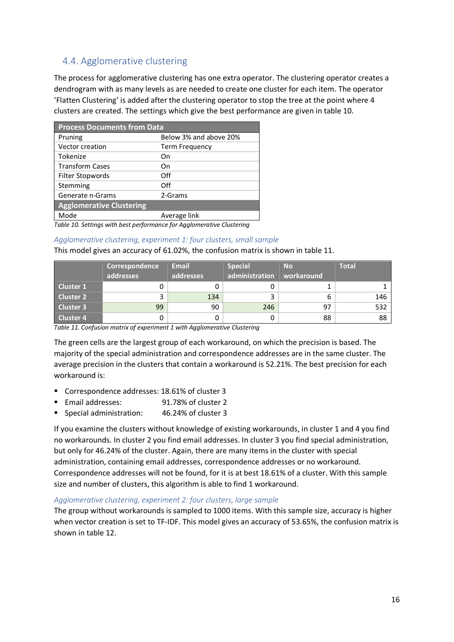## 4.4. Agglomerative clustering

The process for agglomerative clustering has one extra operator. The clustering operator creates a dendrogram with as many levels as are needed to create one cluster for each item. The operator 'Flatten Clustering' is added after the clustering operator to stop the tree at the point where 4 clusters are created. The settings which give the best performance are given in table 10.

| <b>Process Documents from Data</b> |                        |  |  |  |  |
|------------------------------------|------------------------|--|--|--|--|
| Pruning                            | Below 3% and above 20% |  |  |  |  |
| Vector creation                    | <b>Term Frequency</b>  |  |  |  |  |
| Tokenize                           | On                     |  |  |  |  |
| <b>Transform Cases</b>             | On                     |  |  |  |  |
| Filter Stopwords                   | Off                    |  |  |  |  |
| Stemming                           | Off                    |  |  |  |  |
| Generate n-Grams                   | 2-Grams                |  |  |  |  |
| <b>Agglomerative Clustering</b>    |                        |  |  |  |  |
| Mode                               | Average link           |  |  |  |  |
| .                                  | .                      |  |  |  |  |

*Table 10. Settings with best performance for Agglomerative Clustering*

#### *Agglomerative clustering, experiment 1: four clusters, small sample*

This model gives an accuracy of 61.02%, the confusion matrix is shown in table 11.

|                  | Correspondence<br>addresses | <b>Email</b><br>addresses | <b>Special</b><br>administration | <b>No</b><br>workaround | <b>Total</b> |
|------------------|-----------------------------|---------------------------|----------------------------------|-------------------------|--------------|
| Cluster 1        |                             | 0                         |                                  |                         |              |
|                  |                             |                           |                                  |                         |              |
| Cluster 2        |                             | 134                       |                                  |                         | 146          |
| Cluster 3        | 99                          | 90                        | 246                              | 97                      | 532          |
| <b>Cluster 4</b> |                             | 0                         |                                  | 88                      | 88           |

|  |  |  | Table 11. Confusion matrix of experiment 1 with Agglomerative Clustering |  |
|--|--|--|--------------------------------------------------------------------------|--|
|--|--|--|--------------------------------------------------------------------------|--|

The green cells are the largest group of each workaround, on which the precision is based. The majority of the special administration and correspondence addresses are in the same cluster. The average precision in the clusters that contain a workaround is 52.21%. The best precision for each workaround is:

- Correspondence addresses: 18.61% of cluster 3
- Email addresses: 91.78% of cluster 2
- Special administration: 46.24% of cluster 3

If you examine the clusters without knowledge of existing workarounds, in cluster 1 and 4 you find no workarounds. In cluster 2 you find email addresses. In cluster 3 you find special administration, but only for 46.24% of the cluster. Again, there are many items in the cluster with special administration, containing email addresses, correspondence addresses or no workaround. Correspondence addresses will not be found, for it is at best 18.61% of a cluster. With this sample size and number of clusters, this algorithm is able to find 1 workaround.

#### *Agglomerative clustering, experiment 2: four clusters, large sample*

The group without workarounds is sampled to 1000 items. With this sample size, accuracy is higher when vector creation is set to TF-IDF. This model gives an accuracy of 53.65%, the confusion matrix is shown in table 12.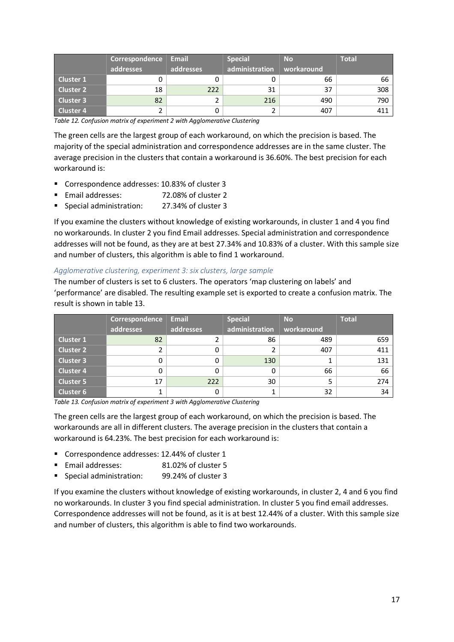|                  | Correspondence<br>addresses | <b>Email</b><br>addresses | <b>Special</b><br>administration | <b>No</b><br>workaround | <b>Total</b> |
|------------------|-----------------------------|---------------------------|----------------------------------|-------------------------|--------------|
| Cluster 1        |                             |                           |                                  | 66                      | 66           |
| Cluster 2        | 18                          | 222                       | 31                               | 37                      | 308          |
| Cluster 3        | 82                          |                           | 216                              | 490                     | 790          |
| <b>Cluster 4</b> |                             |                           |                                  | 407                     | 411          |

*Table 12. Confusion matrix of experiment 2 with Agglomerative Clustering*

The green cells are the largest group of each workaround, on which the precision is based. The majority of the special administration and correspondence addresses are in the same cluster. The average precision in the clusters that contain a workaround is 36.60%. The best precision for each workaround is:

- Correspondence addresses: 10.83% of cluster 3
- Email addresses: 72.08% of cluster 2
- § Special administration: 27.34% of cluster 3

If you examine the clusters without knowledge of existing workarounds, in cluster 1 and 4 you find no workarounds. In cluster 2 you find Email addresses. Special administration and correspondence addresses will not be found, as they are at best 27.34% and 10.83% of a cluster. With this sample size and number of clusters, this algorithm is able to find 1 workaround.

#### *Agglomerative clustering, experiment 3: six clusters, large sample*

The number of clusters is set to 6 clusters. The operators 'map clustering on labels' and 'performance' are disabled. The resulting example set is exported to create a confusion matrix. The result is shown in table 13.

|                  | Correspondence | <b>Email</b> | <b>Special</b> | <b>No</b>  | <b>Total</b> |
|------------------|----------------|--------------|----------------|------------|--------------|
|                  | addresses      | addresses    | administration | workaround |              |
| <b>Cluster 1</b> | 82             |              | 86             | 489        | 659          |
| <b>Cluster 2</b> |                | 0            |                | 407        | 411          |
| <b>Cluster 3</b> |                | 0            | 130            |            | 131          |
| <b>Cluster 4</b> |                | 0            | 0              | 66         | 66           |
| Cluster 5        | 17             | 222          | 30             |            | 274          |
| <b>Cluster 6</b> |                | 0            |                | 32         | 34           |

*Table 13. Confusion matrix of experiment 3 with Agglomerative Clustering*

The green cells are the largest group of each workaround, on which the precision is based. The workarounds are all in different clusters. The average precision in the clusters that contain a workaround is 64.23%. The best precision for each workaround is:

- Correspondence addresses: 12.44% of cluster 1
- Email addresses: 81.02% of cluster 5
- § Special administration: 99.24% of cluster 3

If you examine the clusters without knowledge of existing workarounds, in cluster 2, 4 and 6 you find no workarounds. In cluster 3 you find special administration. In cluster 5 you find email addresses. Correspondence addresses will not be found, as it is at best 12.44% of a cluster. With this sample size and number of clusters, this algorithm is able to find two workarounds.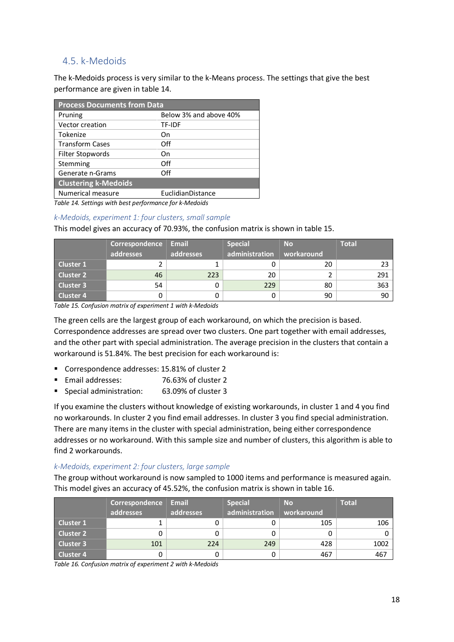## 4.5. k-Medoids

The k-Medoids process is very similar to the k-Means process. The settings that give the best performance are given in table 14.

| <b>Process Documents from Data</b> |                        |  |  |  |  |
|------------------------------------|------------------------|--|--|--|--|
| Pruning                            | Below 3% and above 40% |  |  |  |  |
| Vector creation                    | TF-IDF                 |  |  |  |  |
| Tokenize                           | Οn                     |  |  |  |  |
| <b>Transform Cases</b>             | Off                    |  |  |  |  |
| Filter Stopwords                   | On                     |  |  |  |  |
| Stemming                           | Off                    |  |  |  |  |
| Generate n-Grams                   | Off                    |  |  |  |  |
| <b>Clustering k-Medoids</b>        |                        |  |  |  |  |
| Numerical measure                  | EuclidianDistance      |  |  |  |  |
|                                    | .                      |  |  |  |  |

*Table 14. Settings with best performance for k-Medoids*

#### *k-Medoids, experiment 1: four clusters, small sample*

This model gives an accuracy of 70.93%, the confusion matrix is shown in table 15.

|                  | Correspondence | <b>Email</b> | <b>Special</b> | <b>No</b>  | <b>Total</b> |
|------------------|----------------|--------------|----------------|------------|--------------|
|                  | addresses      | addresses    | administration | workaround |              |
| <b>Cluster 1</b> |                |              |                | 20         | -23          |
| <b>Cluster 2</b> | 46             | 223          | 20             |            | 291          |
| <b>Cluster 3</b> | 54             |              | 229            | 80         | 363          |
| <b>Cluster 4</b> |                |              |                | 90         | 90           |

*Table 15. Confusion matrix of experiment 1 with k-Medoids*

The green cells are the largest group of each workaround, on which the precision is based. Correspondence addresses are spread over two clusters. One part together with email addresses, and the other part with special administration. The average precision in the clusters that contain a workaround is 51.84%. The best precision for each workaround is:

- Correspondence addresses: 15.81% of cluster 2
- Email addresses: 76.63% of cluster 2
- Special administration: 63.09% of cluster 3

If you examine the clusters without knowledge of existing workarounds, in cluster 1 and 4 you find no workarounds. In cluster 2 you find email addresses. In cluster 3 you find special administration. There are many items in the cluster with special administration, being either correspondence addresses or no workaround. With this sample size and number of clusters, this algorithm is able to find 2 workarounds.

#### *k-Medoids, experiment 2: four clusters, large sample*

The group without workaround is now sampled to 1000 items and performance is measured again. This model gives an accuracy of 45.52%, the confusion matrix is shown in table 16.

|                  | Correspondence | <b>Email</b> | Special        | <b>No</b>  | <b>Total</b> |
|------------------|----------------|--------------|----------------|------------|--------------|
|                  | addresses      | addresses    | administration | workaround |              |
| Cluster 1        |                |              |                | 105        | 106          |
| <b>Cluster 2</b> |                |              |                |            |              |
| Cluster 3        | 101            | 224          | 249            | 428        | 1002         |
| <b>Cluster 4</b> |                |              |                | 467        | 467          |

*Table 16. Confusion matrix of experiment 2 with k-Medoids*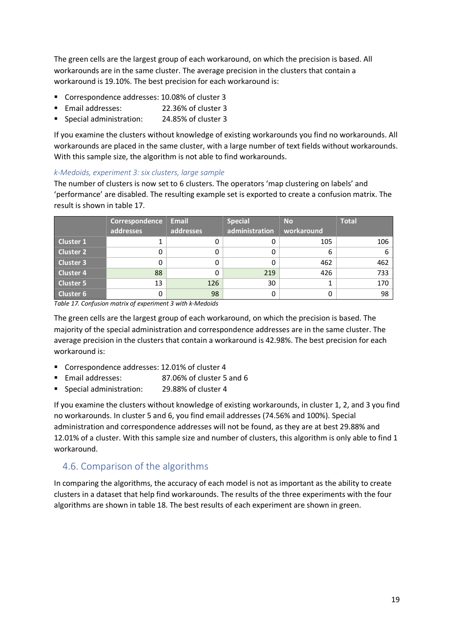The green cells are the largest group of each workaround, on which the precision is based. All workarounds are in the same cluster. The average precision in the clusters that contain a workaround is 19.10%. The best precision for each workaround is:

- Correspondence addresses: 10.08% of cluster 3
- Email addresses: 22.36% of cluster 3
- Special administration: 24.85% of cluster 3

If you examine the clusters without knowledge of existing workarounds you find no workarounds. All workarounds are placed in the same cluster, with a large number of text fields without workarounds. With this sample size, the algorithm is not able to find workarounds.

#### *k-Medoids, experiment 3: six clusters, large sample*

The number of clusters is now set to 6 clusters. The operators 'map clustering on labels' and 'performance' are disabled. The resulting example set is exported to create a confusion matrix. The result is shown in table 17.

|                  | Correspondence<br>addresses | <b>Email</b><br>addresses | <b>Special</b><br>administration | No.<br>workaround | <b>Total</b> |
|------------------|-----------------------------|---------------------------|----------------------------------|-------------------|--------------|
| <b>Cluster 1</b> |                             | 0                         |                                  | 105               | 106          |
| <b>Cluster 2</b> |                             | 0                         |                                  | 6                 |              |
| <b>Cluster 3</b> |                             | 0                         | 0                                | 462               | 462          |
| <b>Cluster 4</b> | 88                          | 0                         | 219                              | 426               | 733          |
| Cluster 5        | 13                          | 126                       | 30                               |                   | 170          |
| <b>Cluster 6</b> |                             | 98                        |                                  |                   | 98           |

*Table 17. Confusion matrix of experiment 3 with k-Medoids*

The green cells are the largest group of each workaround, on which the precision is based. The majority of the special administration and correspondence addresses are in the same cluster. The average precision in the clusters that contain a workaround is 42.98%. The best precision for each workaround is:

- Correspondence addresses: 12.01% of cluster 4
- Email addresses: 87.06% of cluster 5 and 6
- Special administration: 29.88% of cluster 4

If you examine the clusters without knowledge of existing workarounds, in cluster 1, 2, and 3 you find no workarounds. In cluster 5 and 6, you find email addresses (74.56% and 100%). Special administration and correspondence addresses will not be found, as they are at best 29.88% and 12.01% of a cluster. With this sample size and number of clusters, this algorithm is only able to find 1 workaround.

#### 4.6. Comparison of the algorithms

In comparing the algorithms, the accuracy of each model is not as important as the ability to create clusters in a dataset that help find workarounds. The results of the three experiments with the four algorithms are shown in table 18. The best results of each experiment are shown in green.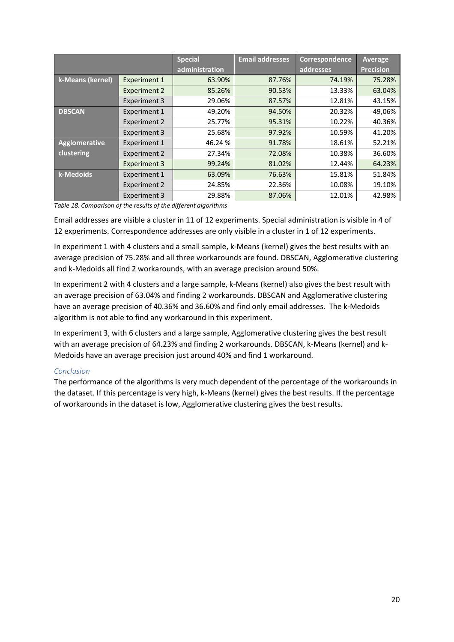|                  |                     | <b>Special</b> | <b>Email addresses</b> | Correspondence | Average          |
|------------------|---------------------|----------------|------------------------|----------------|------------------|
|                  |                     | administration |                        | addresses      | <b>Precision</b> |
| k-Means (kernel) | <b>Experiment 1</b> | 63.90%         | 87.76%                 | 74.19%         | 75.28%           |
|                  | <b>Experiment 2</b> | 85.26%         | 90.53%                 | 13.33%         | 63.04%           |
|                  | <b>Experiment 3</b> | 29.06%         | 87.57%                 | 12.81%         | 43.15%           |
| <b>DBSCAN</b>    | <b>Experiment 1</b> | 49.20%         | 94.50%                 | 20.32%         | 49,06%           |
|                  | Experiment 2        | 25.77%         | 95.31%                 | 10.22%         | 40.36%           |
|                  | <b>Experiment 3</b> | 25.68%         | 97.92%                 | 10.59%         | 41.20%           |
| Agglomerative    | <b>Experiment 1</b> | 46.24 %        | 91.78%                 | 18.61%         | 52.21%           |
| clustering       | <b>Experiment 2</b> | 27.34%         | 72.08%                 | 10.38%         | 36.60%           |
|                  | <b>Experiment 3</b> | 99.24%         | 81.02%                 | 12.44%         | 64.23%           |
| k-Medoids        | Experiment 1        | 63.09%         | 76.63%                 | 15.81%         | 51.84%           |
|                  | Experiment 2        | 24.85%         | 22.36%                 | 10.08%         | 19.10%           |
|                  | <b>Experiment 3</b> | 29.88%         | 87.06%                 | 12.01%         | 42.98%           |

*Table 18. Comparison of the results of the different algorithms*

Email addresses are visible a cluster in 11 of 12 experiments. Special administration is visible in 4 of 12 experiments. Correspondence addresses are only visible in a cluster in 1 of 12 experiments.

In experiment 1 with 4 clusters and a small sample, k-Means (kernel) gives the best results with an average precision of 75.28% and all three workarounds are found. DBSCAN, Agglomerative clustering and k-Medoids all find 2 workarounds, with an average precision around 50%.

In experiment 2 with 4 clusters and a large sample, k-Means (kernel) also gives the best result with an average precision of 63.04% and finding 2 workarounds. DBSCAN and Agglomerative clustering have an average precision of 40.36% and 36.60% and find only email addresses. The k-Medoids algorithm is not able to find any workaround in this experiment.

In experiment 3, with 6 clusters and a large sample, Agglomerative clustering gives the best result with an average precision of 64.23% and finding 2 workarounds. DBSCAN, k-Means (kernel) and k-Medoids have an average precision just around 40% and find 1 workaround.

#### *Conclusion*

The performance of the algorithms is very much dependent of the percentage of the workarounds in the dataset. If this percentage is very high, k-Means (kernel) gives the best results. If the percentage of workarounds in the dataset is low, Agglomerative clustering gives the best results.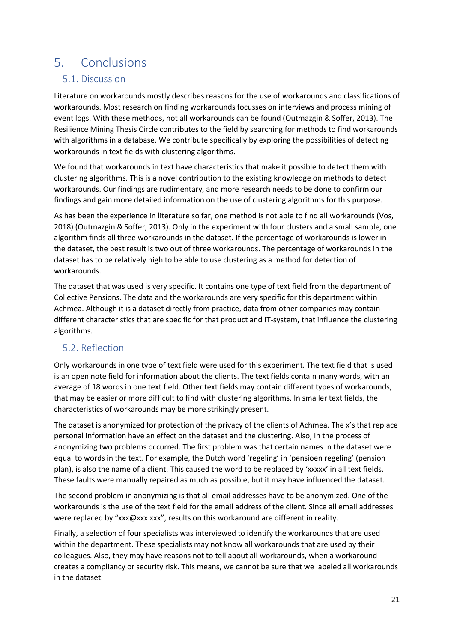# 5. Conclusions

## 5.1. Discussion

Literature on workarounds mostly describes reasons for the use of workarounds and classifications of workarounds. Most research on finding workarounds focusses on interviews and process mining of event logs. With these methods, not all workarounds can be found (Outmazgin & Soffer, 2013). The Resilience Mining Thesis Circle contributes to the field by searching for methods to find workarounds with algorithms in a database. We contribute specifically by exploring the possibilities of detecting workarounds in text fields with clustering algorithms.

We found that workarounds in text have characteristics that make it possible to detect them with clustering algorithms. This is a novel contribution to the existing knowledge on methods to detect workarounds. Our findings are rudimentary, and more research needs to be done to confirm our findings and gain more detailed information on the use of clustering algorithms for this purpose.

As has been the experience in literature so far, one method is not able to find all workarounds (Vos, 2018) (Outmazgin & Soffer, 2013). Only in the experiment with four clusters and a small sample, one algorithm finds all three workarounds in the dataset. If the percentage of workarounds is lower in the dataset, the best result is two out of three workarounds. The percentage of workarounds in the dataset has to be relatively high to be able to use clustering as a method for detection of workarounds.

The dataset that was used is very specific. It contains one type of text field from the department of Collective Pensions. The data and the workarounds are very specific for this department within Achmea. Although it is a dataset directly from practice, data from other companies may contain different characteristics that are specific for that product and IT-system, that influence the clustering algorithms.

## 5.2. Reflection

Only workarounds in one type of text field were used for this experiment. The text field that is used is an open note field for information about the clients. The text fields contain many words, with an average of 18 words in one text field. Other text fields may contain different types of workarounds, that may be easier or more difficult to find with clustering algorithms. In smaller text fields, the characteristics of workarounds may be more strikingly present.

The dataset is anonymized for protection of the privacy of the clients of Achmea. The x's that replace personal information have an effect on the dataset and the clustering. Also, In the process of anonymizing two problems occurred. The first problem was that certain names in the dataset were equal to words in the text. For example, the Dutch word 'regeling' in 'pensioen regeling' (pension plan), is also the name of a client. This caused the word to be replaced by 'xxxxx' in all text fields. These faults were manually repaired as much as possible, but it may have influenced the dataset.

The second problem in anonymizing is that all email addresses have to be anonymized. One of the workarounds is the use of the text field for the email address of the client. Since all email addresses were replaced by "xxx@xxx.xxx", results on this workaround are different in reality.

Finally, a selection of four specialists was interviewed to identify the workarounds that are used within the department. These specialists may not know all workarounds that are used by their colleagues. Also, they may have reasons not to tell about all workarounds, when a workaround creates a compliancy or security risk. This means, we cannot be sure that we labeled all workarounds in the dataset.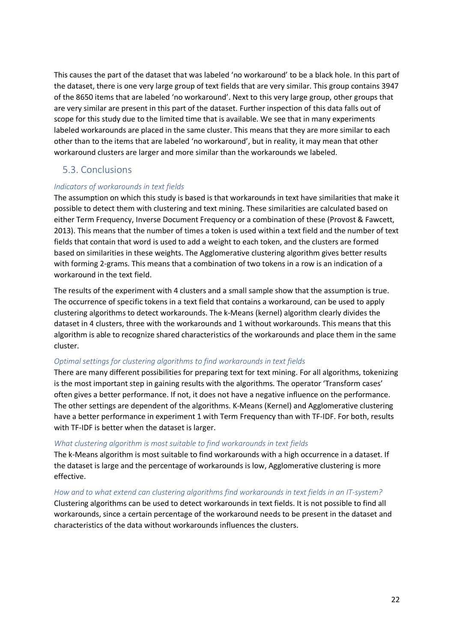This causes the part of the dataset that was labeled 'no workaround' to be a black hole. In this part of the dataset, there is one very large group of text fields that are very similar. This group contains 3947 of the 8650 items that are labeled 'no workaround'. Next to this very large group, other groups that are very similar are present in this part of the dataset. Further inspection of this data falls out of scope for this study due to the limited time that is available. We see that in many experiments labeled workarounds are placed in the same cluster. This means that they are more similar to each other than to the items that are labeled 'no workaround', but in reality, it may mean that other workaround clusters are larger and more similar than the workarounds we labeled.

## 5.3. Conclusions

#### *Indicators of workarounds in text fields*

The assumption on which this study is based is that workarounds in text have similarities that make it possible to detect them with clustering and text mining. These similarities are calculated based on either Term Frequency, Inverse Document Frequency or a combination of these (Provost & Fawcett, 2013). This means that the number of times a token is used within a text field and the number of text fields that contain that word is used to add a weight to each token, and the clusters are formed based on similarities in these weights. The Agglomerative clustering algorithm gives better results with forming 2-grams. This means that a combination of two tokens in a row is an indication of a workaround in the text field.

The results of the experiment with 4 clusters and a small sample show that the assumption is true. The occurrence of specific tokens in a text field that contains a workaround, can be used to apply clustering algorithms to detect workarounds. The k-Means (kernel) algorithm clearly divides the dataset in 4 clusters, three with the workarounds and 1 without workarounds. This means that this algorithm is able to recognize shared characteristics of the workarounds and place them in the same cluster.

#### *Optimal settings for clustering algorithms to find workarounds in text fields*

There are many different possibilities for preparing text for text mining. For all algorithms, tokenizing is the most important step in gaining results with the algorithms. The operator 'Transform cases' often gives a better performance. If not, it does not have a negative influence on the performance. The other settings are dependent of the algorithms. K-Means (Kernel) and Agglomerative clustering have a better performance in experiment 1 with Term Frequency than with TF-IDF. For both, results with TF-IDF is better when the dataset is larger.

#### *What clustering algorithm is most suitable to find workarounds in text fields*

The k-Means algorithm is most suitable to find workarounds with a high occurrence in a dataset. If the dataset is large and the percentage of workarounds is low, Agglomerative clustering is more effective.

*How and to what extend can clustering algorithms find workarounds in text fields in an IT-system?* Clustering algorithms can be used to detect workarounds in text fields. It is not possible to find all workarounds, since a certain percentage of the workaround needs to be present in the dataset and characteristics of the data without workarounds influences the clusters.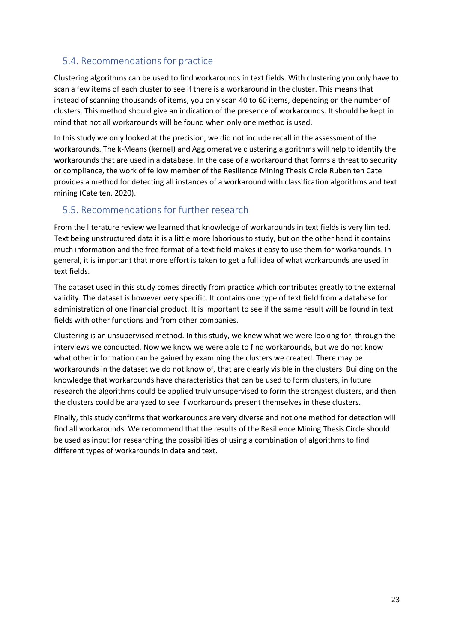## 5.4. Recommendations for practice

Clustering algorithms can be used to find workarounds in text fields. With clustering you only have to scan a few items of each cluster to see if there is a workaround in the cluster. This means that instead of scanning thousands of items, you only scan 40 to 60 items, depending on the number of clusters. This method should give an indication of the presence of workarounds. It should be kept in mind that not all workarounds will be found when only one method is used.

In this study we only looked at the precision, we did not include recall in the assessment of the workarounds. The k-Means (kernel) and Agglomerative clustering algorithms will help to identify the workarounds that are used in a database. In the case of a workaround that forms a threat to security or compliance, the work of fellow member of the Resilience Mining Thesis Circle Ruben ten Cate provides a method for detecting all instances of a workaround with classification algorithms and text mining (Cate ten, 2020).

## 5.5. Recommendations for further research

From the literature review we learned that knowledge of workarounds in text fields is very limited. Text being unstructured data it is a little more laborious to study, but on the other hand it contains much information and the free format of a text field makes it easy to use them for workarounds. In general, it is important that more effort is taken to get a full idea of what workarounds are used in text fields.

The dataset used in this study comes directly from practice which contributes greatly to the external validity. The dataset is however very specific. It contains one type of text field from a database for administration of one financial product. It is important to see if the same result will be found in text fields with other functions and from other companies.

Clustering is an unsupervised method. In this study, we knew what we were looking for, through the interviews we conducted. Now we know we were able to find workarounds, but we do not know what other information can be gained by examining the clusters we created. There may be workarounds in the dataset we do not know of, that are clearly visible in the clusters. Building on the knowledge that workarounds have characteristics that can be used to form clusters, in future research the algorithms could be applied truly unsupervised to form the strongest clusters, and then the clusters could be analyzed to see if workarounds present themselves in these clusters.

Finally, this study confirms that workarounds are very diverse and not one method for detection will find all workarounds. We recommend that the results of the Resilience Mining Thesis Circle should be used as input for researching the possibilities of using a combination of algorithms to find different types of workarounds in data and text.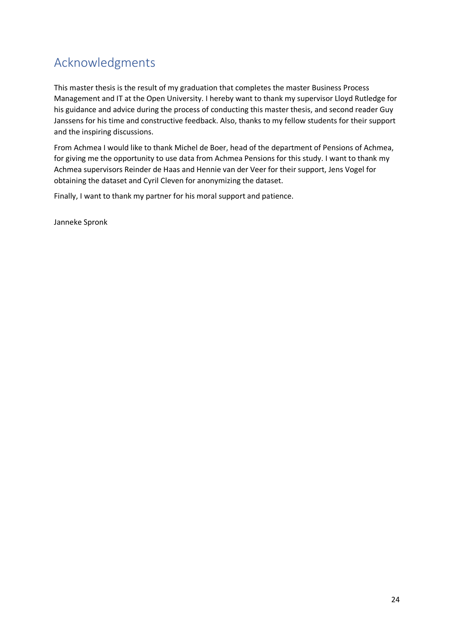# Acknowledgments

This master thesis is the result of my graduation that completes the master Business Process Management and IT at the Open University. I hereby want to thank my supervisor Lloyd Rutledge for his guidance and advice during the process of conducting this master thesis, and second reader Guy Janssens for his time and constructive feedback. Also, thanks to my fellow students for their support and the inspiring discussions.

From Achmea I would like to thank Michel de Boer, head of the department of Pensions of Achmea, for giving me the opportunity to use data from Achmea Pensions for this study. I want to thank my Achmea supervisors Reinder de Haas and Hennie van der Veer for their support, Jens Vogel for obtaining the dataset and Cyril Cleven for anonymizing the dataset.

Finally, I want to thank my partner for his moral support and patience.

Janneke Spronk